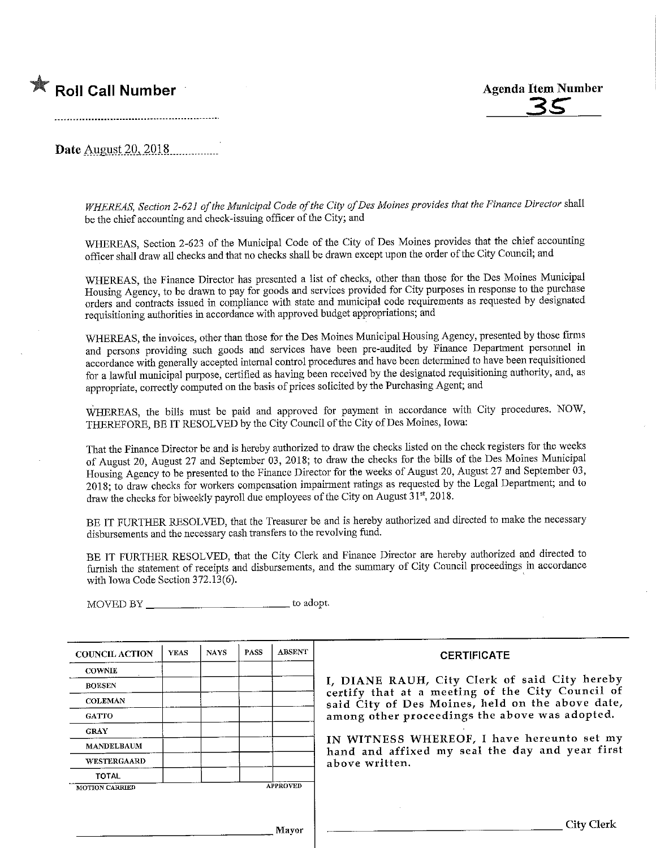# **K** Roll Call Number



Date August 20, 2018.................

WHEREAS, Section 2-621 of the Municipal Code of the City of Des Moines provides that the Finance Director shall be the chief accounting and check-issuing officer of the City; and

WHEREAS, Section 2-623 of the Municipal Code of the City of Des Moines provides that the chief accounting officer shall draw all checks and that no checks shall be drawn except upon the order of the City Council; and

WHEREAS, the Finance Director has presented a list of checks, other than those for the Des Moines Municipal Housing Agency, to be drawn to pay for goods and services provided for City purposes in response to the purchase orders and contracts issued in compliance with state and municipal code requirements as requested by designated requisitiomng authorities in accordance with approved budget appropriations; and

WHEREAS, the invoices, other than those for the Des Moines Municipal Housing Agency, presented by those firms and persons providing such goods and services have been pre-audited by Finance Department personnel in accordance with generally accepted internal control procedures and have been determined to have been requisitioned for a lawful municipal purpose, certified as having been received by the designated requisitioning authority, and, as appropriate, correctly computed on the basis of prices solicited by the Purchasing Agent; and

WHEREAS, the bills must be paid and approved for payment in accordance with City procedures. NOW, THEREFORE, BE IT RESOLVED by the City Council of the City of Des Moines, Iowa:

That the Finance Director be and is hereby authorized to draw the checks listed on the check registers for the weeks of August 20, August 27 and September 03, 2018; to draw the checks for the bills of the Des Moines Municipal Housing Agency to be presented to the Fmance Director for the weeks of August 20, August 27 and September 03 , 2018; to draw checks for workers compensation impairment ratmgs as requested by the Legal Department; and to draw the checks for biweekly payroll due employees of the City on August 31<sup>st</sup>, 2018.

BE IT FURTHER RESOLVED, that the Treasurer be and is hereby authorized and directed to make the necessary disbursements and the necessary cash transfers to the revolving fund.

BE IT FURTHER RESOLVED, that the City Clerk and Finance Director are hereby authorized and directed to furnish the statement of receipts and disbursements, and the summary of City Council proceedings m accordance with Iowa Code Section 372.13(6).

MOVED BY \_\_\_\_\_\_\_\_\_\_\_\_\_\_\_\_\_\_\_\_\_\_\_\_\_\_\_\_\_\_\_\_\_\_ to adopt.

| <b>COUNCIL ACTION</b> | <b>YEAS</b> | <b>NAYS</b> | <b>PASS</b> | <b>ABSENT</b>   |
|-----------------------|-------------|-------------|-------------|-----------------|
| <b>COWNIE</b>         |             |             |             |                 |
| <b>BOESEN</b>         |             |             |             |                 |
| <b>COLEMAN</b>        |             |             |             |                 |
| <b>GATTO</b>          |             |             |             |                 |
| <b>GRAY</b>           |             |             |             |                 |
| <b>MANDELBAUM</b>     |             |             |             |                 |
| <b>WESTERGAARD</b>    |             |             |             |                 |
| <b>TOTAL</b>          |             |             |             |                 |
| <b>MOTION CARRIED</b> |             |             |             | <b>APPROVED</b> |

### **CERTIFICATE**

I/ DIANE RAUH/ City Clerk of said City hereby certify that at a meeting of the City Council of said City of Des Moines, held on the above date, among other proceedings the above was adopted.

IN WITNESS WHEREOF, I have hereunto set my hand and affixed my seal the day and year first above written.

Mayor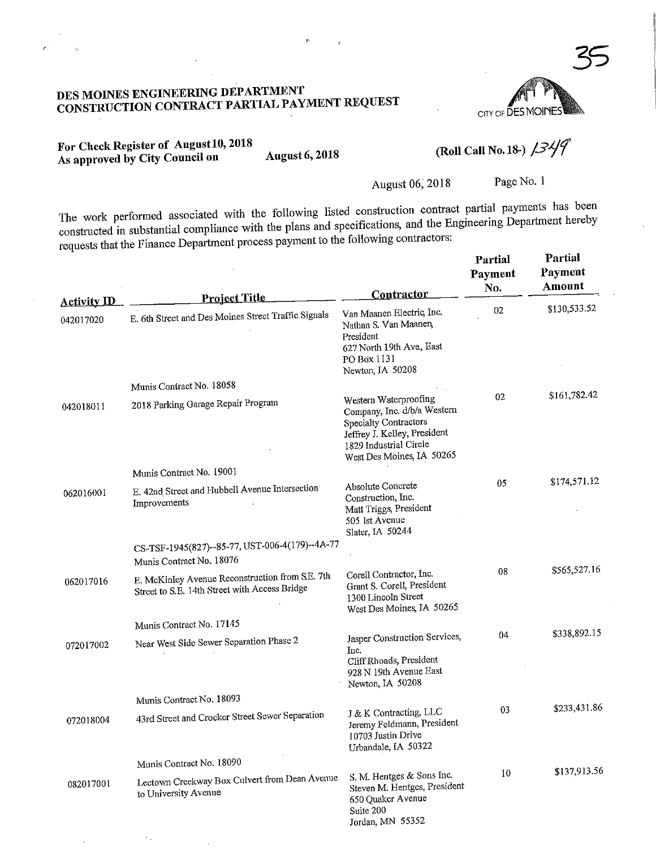### S MOINES ENGINEERING DEL ARTIBENT NSTRUCTION CONTRACT PARTIAL PAYMENT REQUESTION

CITY OF DES MOIN

For Check Register of August 10, 2018<br>As approved by City Council on August 6, 2018 For Check Register of August 10, 2018<br>As approved by City Council on August 6, 2018 (Roll Call No. 18-)  $\frac{3\sqrt{f}}{2}$ 

 $\epsilon_{\rm eff}$ 

Page No. 1

Partial

August 06, 2018 Page No. 1<br>The work performed associated with the following listed construction contract partial payments has been the work performed associated with the following movements and the Fine integriting Department hereby  $\alpha$  is tructed in substantial compliance with the plans and specifications, and the Engineering Contractors, requests that the Finance Department process payment to the following contractors:

 $\hat{\mathbf{p}}$ 

|                                 | <b>Project Title</b>                                                                             | Contractor                                                                                                                                                                  | Partial<br>Payment<br>No. | Partial<br>Payment<br>Amount |
|---------------------------------|--------------------------------------------------------------------------------------------------|-----------------------------------------------------------------------------------------------------------------------------------------------------------------------------|---------------------------|------------------------------|
| <b>Activity ID</b><br>042017020 | E. 6th Street and Des Moines Street Traffic Signals                                              | Van Maanen Electric, Inc.<br>Nathan S. Van Maanen,<br>President<br>627 North 19th Ave, East<br>PO Box 1131<br>Newton, IA 50208                                              | 02                        | \$130,533.52                 |
|                                 | Munis Contract No. 18058                                                                         |                                                                                                                                                                             |                           |                              |
| 042018011                       | 2018 Parking Garage Repair Program                                                               | Western Waterproofing<br>Company, Inc. d/b/a Western<br><b>Specialty Contractors</b><br>Jeffrey J. Kelley, President<br>1829 Industrial Circle<br>West Des Moines, IA 50265 | 02                        | \$161,782.42                 |
|                                 | Munis Contract No. 19001                                                                         |                                                                                                                                                                             |                           |                              |
| 062016001                       | E. 42nd Street and Hubbell Avenue Intersection<br>Improvements                                   | Absolute Concrete<br>Construction, Inc.<br>Matt Triggs, President<br>505 1st Avenue<br>Slater, IA 50244                                                                     | 05                        | \$174,571.12                 |
|                                 | CS-TSF-1945(827)--85-77, UST-006-4(179)--4A-77                                                   |                                                                                                                                                                             |                           |                              |
|                                 | Munis Contract No. 18076                                                                         |                                                                                                                                                                             | 08                        | \$565,527.16                 |
| 062017016                       | E. McKinley Avenue Reconstruction from S.E. 7th<br>Street to S.E. 14th Street with Access Bridge | Corell Contractor, Inc.<br>Grant S. Corell, President<br>1300 Lincoln Street<br>West Des Moines, IA 50265                                                                   |                           |                              |
|                                 | Munis Contract No. 17145                                                                         |                                                                                                                                                                             |                           | \$338,892.15                 |
| 072017002                       | Near West Side Sewer Separation Phase 2                                                          | Jasper Construction Services,<br>Inc.<br>Cliff Rhoads, President<br>928 N 19th Avenue East<br>Newton, IA 50208                                                              | 04                        |                              |
|                                 | Munis Contract No. 18093                                                                         |                                                                                                                                                                             |                           |                              |
| 072018004                       | 43rd Street and Crocker Street Sewer Separation                                                  | J & K Contracting, LLC<br>Jeremy Feldmann, President<br>10703 Justin Drive<br>Urbandale, IA 50322                                                                           | 03                        | \$233,431.86                 |
|                                 | Munis Contract No. 18090                                                                         |                                                                                                                                                                             |                           |                              |
| 082017001                       | Leetown Creekway Box Culvert from Dean Avenue<br>to University Avenue                            | S. M. Hentges & Sons Inc.<br>Steven M. Hentges, President<br>650 Quaker Avenue<br>Suite 200<br>Jordan, MN 55352                                                             | 10                        | \$137,913.56                 |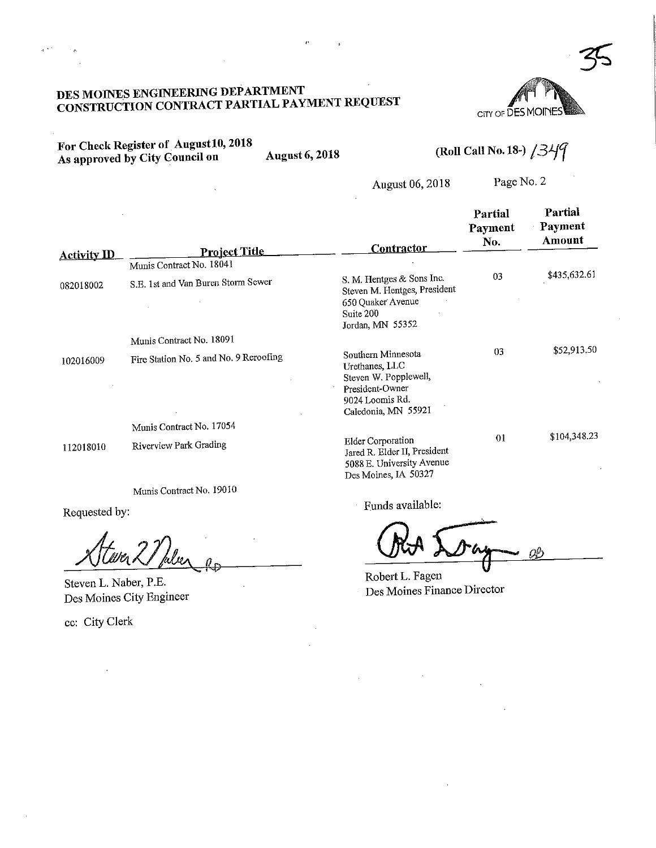### S MOINES ENGINEERING DEFARTMENT NSTRUCTION CONTRACT FARTIAL LATINENT REQUEST



r Check Register of August 10, 2010 As approved by City Council on August 6,2018 (Roll Call No. 18-) /3^

August 06,2018 Page No. 2

|                    |                                                  | <b>Contractor</b>                                                                                                          | Partial<br>Payment<br>No. | Partial<br>Payment<br>Amount |
|--------------------|--------------------------------------------------|----------------------------------------------------------------------------------------------------------------------------|---------------------------|------------------------------|
| <b>Activity ID</b> | <b>Project Title</b><br>Munis Contract No. 18041 |                                                                                                                            |                           |                              |
| 082018002          | S.E. 1st and Van Buren Storm Sewer               | S. M. Hentges & Sons Inc.<br>Steven M. Hentges, President<br>650 Quaker Avenue<br>Suite 200<br>Jordan, MN 55352            | 03                        | \$435,632.61                 |
|                    | Munis Contract No. 18091                         |                                                                                                                            |                           |                              |
| 102016009          | Fire Station No. 5 and No. 9 Reroofing           | Southern Minnesota<br>Urethanes, LLC<br>Steven W. Popplewell,<br>President-Owner<br>9024 Loomis Rd.<br>Caledonia, MN 55921 | 03                        | \$52,913.50                  |
|                    | Munis Contract No. 17054                         |                                                                                                                            |                           |                              |
| 112018010          | Riverview Park Grading                           | <b>Elder Corporation</b><br>Jared R. Elder II, President<br>5088 E. University Avenue<br>Des Moines, IA 50327              | 01                        | \$104,348.23                 |
|                    | Munis Contract No. 19010                         |                                                                                                                            |                           |                              |

Requested by:

Steven L. Naber, P.E. Des Moines City Engineer

ec: City Clerk

Lay Chineston

rock<br>Neglischen Ring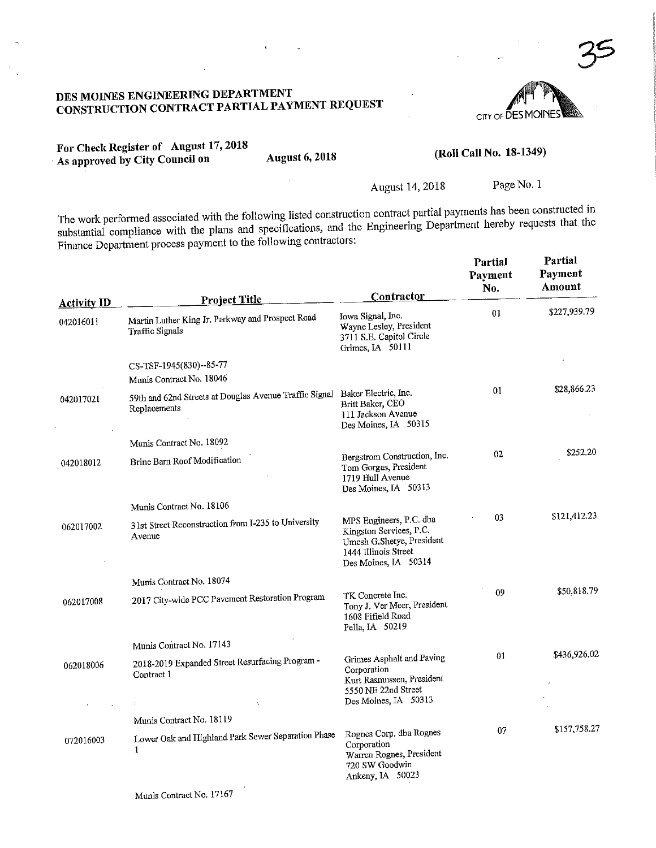### S MOINES ENGINEERING DEFAKTMENT NSTRUCTION CONTRACT PARTIAL FATTMENT REQUEST

CITY OF **DES MOII** 

For Check Register of August 17,2018 As approved by City Council on August 6, 2018

 $\mathcal{L}$ 

Page No. 1

The work performed associated with the following listed construction contract partial payments has been constructed in substantial compliance with the plans and specifications, and the Engineering Department hereby requests that the Finance Department process payment to the following contractors:

|                                 | <b>Project Title</b>                                                                        | Contractor                                                                                                                      | Partial<br>Payment<br>No. | Partial<br>Payment<br>Amount |
|---------------------------------|---------------------------------------------------------------------------------------------|---------------------------------------------------------------------------------------------------------------------------------|---------------------------|------------------------------|
| <b>Activity ID</b><br>042016011 | Martin Luther King Jr. Parkway and Prospect Road<br>Traffic Signals                         | Iowa Signal, Inc.<br>Wayne Lesley, President<br>3711 S.E. Capitol Circle<br>Grimes, IA 50111                                    | 01                        | \$227,939.79                 |
|                                 | CS-TSF-1945(830)--85-77                                                                     |                                                                                                                                 |                           |                              |
|                                 | Munis Contract No. 18046                                                                    |                                                                                                                                 |                           |                              |
| 042017021                       | 59th and 62nd Streets at Douglas Avenue Traffic Signal Baker Electric, Inc.<br>Replacements | Britt Baker, CEO<br>111 Jackson Avenue<br>Des Moines, IA 50315                                                                  | 01                        | \$28,866.23                  |
|                                 | Munis Contract No. 18092                                                                    |                                                                                                                                 |                           |                              |
| 042018012                       | Brine Barn Roof Modification                                                                | Bergstrom Construction, Inc.<br>Tom Gorgas, President<br>1719 Hull Avenue<br>Des Moines, IA 50313                               | 02                        | \$252.20                     |
|                                 | Munis Contract No. 18106                                                                    |                                                                                                                                 |                           |                              |
| 062017002                       | 31st Street Reconstruction from I-235 to University<br>Avenue                               | MPS Engineers, P.C. dba<br>Kingston Services, P.C.<br>Umesh G.Shetye, President<br>1444 Illinois Street<br>Des Moines, IA 50314 | 03                        | \$121,412.23                 |
|                                 | Munis Contract No. 18074                                                                    |                                                                                                                                 |                           |                              |
| 062017008                       | 2017 City-wide PCC Pavement Restoration Program                                             | TK Concrete Inc.<br>Tony J. Ver Meer, President<br>1608 Fifield Road<br>Pella, IA 50219                                         | 09                        | \$50,818.79                  |
|                                 | Munis Contract No. 17143                                                                    |                                                                                                                                 |                           |                              |
| 062018006                       | 2018-2019 Expanded Street Resurfacing Program -<br>Contract 1                               | Grimes Asphalt and Paving<br>Corporation<br>Kurt Rasmussen, President<br>5550 NE 22nd Street<br>Des Moines, IA 50313            | 01                        | \$436,926.02                 |
|                                 | Munis Contract No. 18119                                                                    |                                                                                                                                 |                           |                              |
| 072016003                       | Lower Oak and Highland Park Sewer Separation Phase<br>1                                     | Rognes Corp. dba Rognes<br>Corporation<br>Warren Rognes, President<br>720 SW Goodwin<br>Ankeny, IA 50023                        | 07                        | \$157,758.27                 |